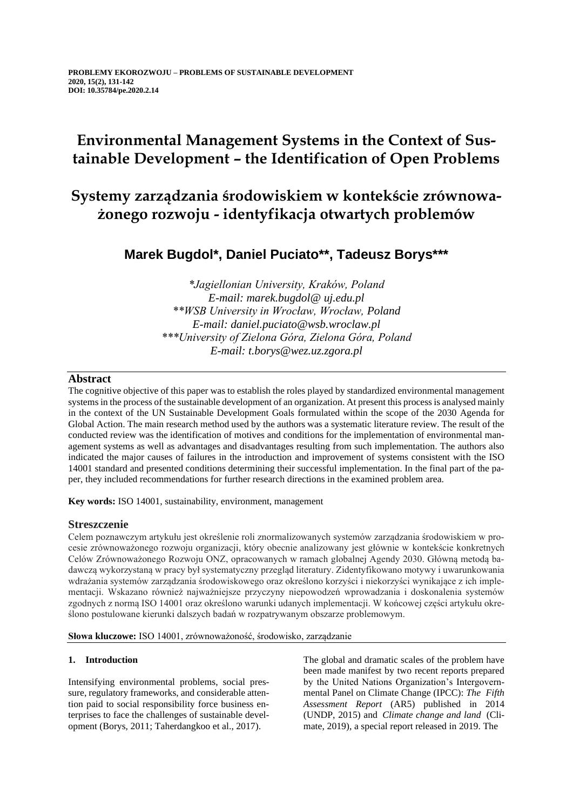# **Environmental Management Systems in the Context of Sustainable Development – the Identification of Open Problems**

# **Systemy zarządzania środowiskiem w kontekście zrównoważonego rozwoju - identyfikacja otwartych problemów**

# **Marek Bugdol\*, Daniel Puciato\*\*, Tadeusz Borys\*\*\***

*\*Jagiellonian University, Kraków, Poland E-mail: marek.bugdol@ uj.edu.pl \*\*WSB University in Wrocław, Wrocław, Poland E-mail: daniel.puciato@wsb.wroclaw.pl \*\*\*University of Zielona Góra, Zielona Góra, Poland E-mail: t.borys@wez.uz.zgora.pl*

# **Abstract**

The cognitive objective of this paper was to establish the roles played by standardized environmental management systems in the process of the sustainable development of an organization. At present this process is analysed mainly in the context of the UN Sustainable Development Goals formulated within the scope of the 2030 Agenda for Global Action. The main research method used by the authors was a systematic literature review. The result of the conducted review was the identification of motives and conditions for the implementation of environmental management systems as well as advantages and disadvantages resulting from such implementation. The authors also indicated the major causes of failures in the introduction and improvement of systems consistent with the ISO 14001 standard and presented conditions determining their successful implementation. In the final part of the paper, they included recommendations for further research directions in the examined problem area.

**Key words:** ISO 14001, sustainability, environment, management

# **Streszczenie**

Celem poznawczym artykułu jest określenie roli znormalizowanych systemów zarządzania środowiskiem w procesie zrównoważonego rozwoju organizacji, który obecnie analizowany jest głównie w kontekście konkretnych Celów Zrównoważonego Rozwoju ONZ, opracowanych w ramach globalnej Agendy 2030. Główną metodą badawczą wykorzystaną w pracy był systematyczny przegląd literatury. Zidentyfikowano motywy i uwarunkowania wdrażania systemów zarządzania środowiskowego oraz określono korzyści i niekorzyści wynikające z ich implementacji. Wskazano również najważniejsze przyczyny niepowodzeń wprowadzania i doskonalenia systemów zgodnych z normą ISO 14001 oraz określono warunki udanych implementacji. W końcowej części artykułu określono postulowane kierunki dalszych badań w rozpatrywanym obszarze problemowym.

**Słowa kluczowe:** ISO 14001, zrównoważoność, środowisko, zarządzanie

# **1. Introduction**

Intensifying environmental problems, social pressure, regulatory frameworks, and considerable attention paid to social responsibility force business enterprises to face the challenges of sustainable development (Borys, 2011; Taherdangkoo et al., 2017).

The global and dramatic scales of the problem have been made manifest by two recent reports prepared by the United Nations Organization's Intergovernmental Panel on Climate Change (IPCC): *The Fifth Assessment Report* (AR5) published in 2014 (UNDP, 2015) and *Climate change and land* (Climate, 2019), a special report released in 2019. The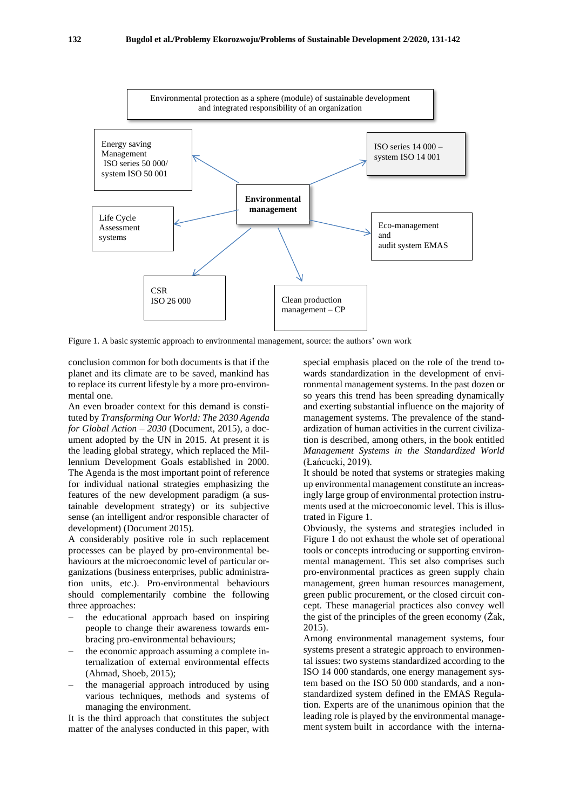

Figure 1. A basic systemic approach to environmental management, source: the authors' own work

conclusion common for both documents is that if the planet and its climate are to be saved, mankind has to replace its current lifestyle by a more pro-environmental one.

An even broader context for this demand is constituted by *Transforming Our World: The 2030 Agenda for Global Action – 2030* (Document, 2015), a document adopted by the UN in 2015. At present it is the leading global strategy, which replaced the Millennium Development Goals established in 2000. The Agenda is the most important point of reference for individual national strategies emphasizing the features of the new development paradigm (a sustainable development strategy) or its subjective sense (an intelligent and/or responsible character of development) (Document 2015).

A considerably positive role in such replacement processes can be played by pro-environmental behaviours at the microeconomic level of particular organizations (business enterprises, public administration units, etc.). Pro-environmental behaviours should complementarily combine the following three approaches:

- the educational approach based on inspiring people to change their awareness towards embracing pro-environmental behaviours;
- the economic approach assuming a complete internalization of external environmental effects (Ahmad, Shoeb, 2015);
- the managerial approach introduced by using various techniques, methods and systems of managing the environment.

It is the third approach that constitutes the subject matter of the analyses conducted in this paper, with

special emphasis placed on the role of the trend towards standardization in the development of environmental management systems. In the past dozen or so years this trend has been spreading dynamically and exerting substantial influence on the majority of management systems. The prevalence of the standardization of human activities in the current civilization is described, among others, in the book entitled *Management Systems in the Standardized World* (Łańcucki, 2019)*.*

It should be noted that systems or strategies making up environmental management constitute an increasingly large group of environmental protection instruments used at the microeconomic level. This is illustrated in Figure 1.

Obviously, the systems and strategies included in Figure 1 do not exhaust the whole set of operational tools or concepts introducing or supporting environmental management. This set also comprises such pro-environmental practices as green supply chain management, green human resources management, green public procurement, or the closed circuit concept. These managerial practices also convey well the gist of the principles of the green economy (Żak, 2015).

Among environmental management systems, four systems present a strategic approach to environmental issues: two systems standardized according to the ISO 14 000 standards, one energy management system based on the ISO 50 000 standards, and a nonstandardized system defined in the EMAS Regulation. Experts are of the unanimous opinion that the leading role is played by the environmental management system built in accordance with the interna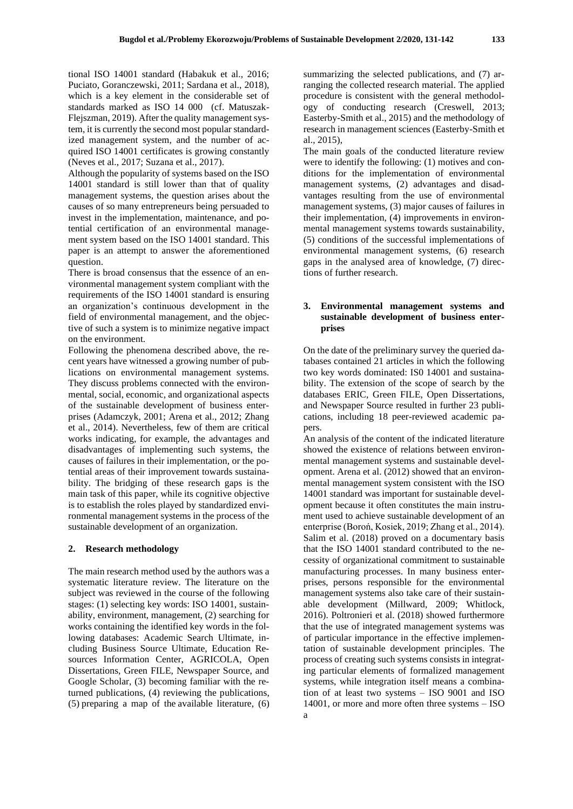tional ISO 14001 standard (Habakuk et al., 2016; Puciato, Goranczewski, 2011; Sardana et al., 2018), which is a key element in the considerable set of standards marked as ISO 14 000 (cf. Matuszak-Flejszman, 2019). After the quality management system, it is currently the second most popular standardized management system, and the number of acquired ISO 14001 certificates is growing constantly (Neves et al., 2017; Suzana et al., 2017).

Although the popularity of systems based on the ISO 14001 standard is still lower than that of quality management systems, the question arises about the causes of so many entrepreneurs being persuaded to invest in the implementation, maintenance, and potential certification of an environmental management system based on the ISO 14001 standard. This paper is an attempt to answer the aforementioned question.

There is broad consensus that the essence of an environmental management system compliant with the requirements of the ISO 14001 standard is ensuring an organization's continuous development in the field of environmental management, and the objective of such a system is to minimize negative impact on the environment.

Following the phenomena described above, the recent years have witnessed a growing number of publications on environmental management systems. They discuss problems connected with the environmental, social, economic, and organizational aspects of the sustainable development of business enterprises (Adamczyk, 2001; Arena et al., 2012; Zhang et al., 2014). Nevertheless, few of them are critical works indicating, for example, the advantages and disadvantages of implementing such systems, the causes of failures in their implementation, or the potential areas of their improvement towards sustainability. The bridging of these research gaps is the main task of this paper, while its cognitive objective is to establish the roles played by standardized environmental management systems in the process of the sustainable development of an organization.

#### **2. Research methodology**

The main research method used by the authors was a systematic literature review. The literature on the subject was reviewed in the course of the following stages: (1) selecting key words: ISO 14001, sustainability, environment, management, (2) searching for works containing the identified key words in the following databases: Academic Search Ultimate, including Business Source Ultimate, Education Resources Information Center, AGRICOLA, Open Dissertations, Green FILE, Newspaper Source, and Google Scholar, (3) becoming familiar with the returned publications, (4) reviewing the publications, (5) preparing a map of the available literature, (6)

summarizing the selected publications, and (7) arranging the collected research material. The applied procedure is consistent with the general methodology of conducting research (Creswell, 2013; Easterby-Smith et al., 2015) and the methodology of research in management sciences (Easterby-Smith et al., 2015),

The main goals of the conducted literature review were to identify the following: (1) motives and conditions for the implementation of environmental management systems, (2) advantages and disadvantages resulting from the use of environmental management systems, (3) major causes of failures in their implementation, (4) improvements in environmental management systems towards sustainability, (5) conditions of the successful implementations of environmental management systems, (6) research gaps in the analysed area of knowledge, (7) directions of further research.

# **3. Environmental management systems and sustainable development of business enterprises**

On the date of the preliminary survey the queried databases contained 21 articles in which the following two key words dominated: IS0 14001 and sustainability. The extension of the scope of search by the databases ERIC, Green FILE, Open Dissertations, and Newspaper Source resulted in further 23 publications, including 18 peer-reviewed academic papers.

An analysis of the content of the indicated literature showed the existence of relations between environmental management systems and sustainable development. Arena et al. (2012) showed that an environmental management system consistent with the ISO 14001 standard was important for sustainable development because it often constitutes the main instrument used to achieve sustainable development of an enterprise (Boroń, Kosiek, 2019; Zhang et al., 2014). Salim et al. (2018) proved on a documentary basis that the ISO 14001 standard contributed to the necessity of organizational commitment to sustainable manufacturing processes. In many business enterprises, persons responsible for the environmental management systems also take care of their sustainable development (Millward, 2009; Whitlock, 2016). Poltronieri et al. (2018) showed furthermore that the use of integrated management systems was of particular importance in the effective implementation of sustainable development principles. The process of creating such systems consists in integrating particular elements of formalized management systems, while integration itself means a combination of at least two systems – ISO 9001 and ISO 14001, or more and more often three systems – ISO a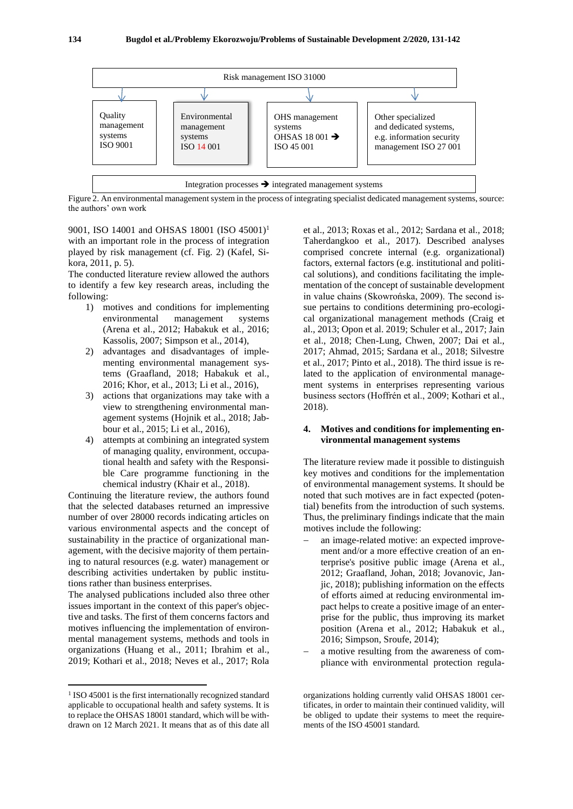

Figure 2. An environmental management system in the process of integrating specialist dedicated management systems, source: the authors' own work

9001, ISO 14001 and OHSAS 18001 (ISO 45001)<sup>1</sup> with an important role in the process of integration played by risk management (cf. Fig. 2) (Kafel, Sikora, 2011, p. 5).

The conducted literature review allowed the authors to identify a few key research areas, including the following:

- 1) motives and conditions for implementing environmental management systems (Arena et al., 2012; Habakuk et al., 2016; Kassolis, 2007; Simpson et al., 2014),
- 2) advantages and disadvantages of implementing environmental management systems (Graafland, 2018; Habakuk et al., 2016; Khor, et al., 2013; Li et al., 2016),
- 3) actions that organizations may take with a view to strengthening environmental management systems (Hojnik et al., 2018; Jabbour et al., 2015; Li et al., 2016),
- 4) attempts at combining an integrated system of managing quality, environment, occupational health and safety with the Responsible Care programme functioning in the chemical industry (Khair et al., 2018).

Continuing the literature review, the authors found that the selected databases returned an impressive number of over 28000 records indicating articles on various environmental aspects and the concept of sustainability in the practice of organizational management, with the decisive majority of them pertaining to natural resources (e.g. water) management or describing activities undertaken by public institutions rather than business enterprises.

The analysed publications included also three other issues important in the context of this paper's objective and tasks. The first of them concerns factors and motives influencing the implementation of environmental management systems, methods and tools in organizations (Huang et al., 2011; Ibrahim et al., 2019; Kothari et al., 2018; Neves et al., 2017; Rola

et al., 2013; Roxas et al., 2012; Sardana et al., 2018; Taherdangkoo et al., 2017). Described analyses comprised concrete internal (e.g. organizational) factors, external factors (e.g. institutional and political solutions), and conditions facilitating the implementation of the concept of sustainable development in value chains (Skowrońska, 2009). The second issue pertains to conditions determining pro-ecological organizational management methods (Craig et al., 2013; Opon et al. 2019; Schuler et al., 2017; Jain et al., 2018; Chen-Lung, Chwen, 2007; Dai et al., 2017; Ahmad, 2015; Sardana et al., 2018; Silvestre et al., 2017; Pinto et al., 2018). The third issue is related to the application of environmental management systems in enterprises representing various business sectors (Hoffrén et al., 2009; Kothari et al., 2018).

#### **4. Motives and conditions for implementing environmental management systems**

The literature review made it possible to distinguish key motives and conditions for the implementation of environmental management systems. It should be noted that such motives are in fact expected (potential) benefits from the introduction of such systems. Thus, the preliminary findings indicate that the main motives include the following:

- an image-related motive: an expected improvement and/or a more effective creation of an enterprise's positive public image (Arena et al., 2012; Graafland, Johan, 2018; Jovanovic, Janiic,  $2018$ ); publishing information on the effects of efforts aimed at reducing environmental impact helps to create a positive image of an enterprise for the public, thus improving its market position (Arena et al., 2012; Habakuk et al., 2016; Simpson, Sroufe, 2014);
- a motive resulting from the awareness of compliance with environmental protection regula-

<sup>&</sup>lt;sup>1</sup> ISO 45001 is the first internationally recognized standard applicable to occupational health and safety systems. It is to replace the OHSAS 18001 standard, which will be withdrawn on 12 March 2021. It means that as of this date all

organizations holding currently valid OHSAS 18001 certificates, in order to maintain their continued validity, will be obliged to update their systems to meet the requirements of the ISO 45001 standard.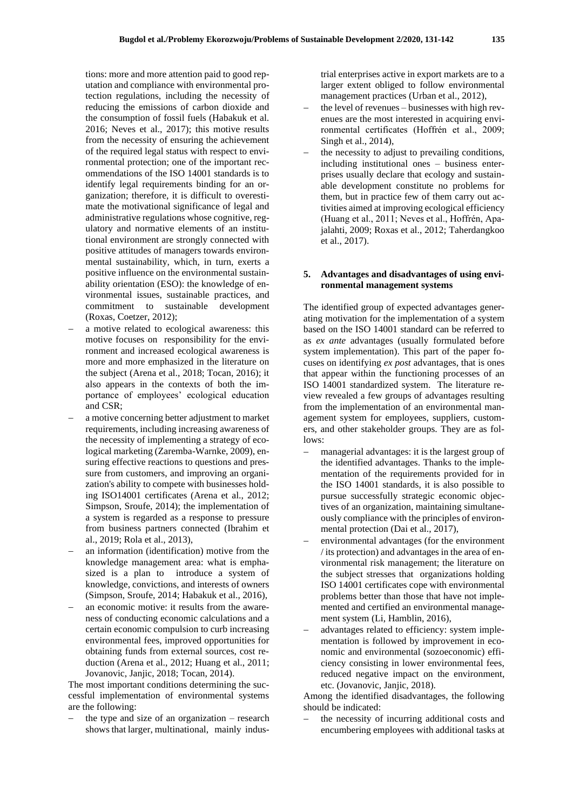tions: more and more attention paid to good reputation and compliance with environmental protection regulations, including the necessity of reducing the emissions of carbon dioxide and the consumption of fossil fuels (Habakuk et al. 2016; Neves et al., 2017); this motive results from the necessity of ensuring the achievement of the required legal status with respect to environmental protection; one of the important recommendations of the ISO 14001 standards is to identify legal requirements binding for an organization; therefore, it is difficult to overestimate the motivational significance of legal and administrative regulations whose cognitive, regulatory and normative elements of an institutional environment are strongly connected with positive attitudes of managers towards environmental sustainability, which, in turn, exerts a positive influence on the environmental sustainability orientation (ESO): the knowledge of environmental issues, sustainable practices, and commitment to sustainable development (Roxas, Coetzer, 2012);

- a motive related to ecological awareness: this motive focuses on responsibility for the environment and increased ecological awareness is more and more emphasized in the literature on the subject (Arena et al., 2018; Tocan, 2016); it also appears in the contexts of both the importance of employees' ecological education and CSR;
- a motive concerning better adjustment to market requirements, including increasing awareness of the necessity of implementing a strategy of ecological marketing (Zaremba-Warnke, 2009), ensuring effective reactions to questions and pressure from customers, and improving an organization's ability to compete with businesses holding ISO14001 certificates (Arena et al., 2012; Simpson, Sroufe, 2014); the implementation of a system is regarded as a response to pressure from business partners connected (Ibrahim et al., 2019; Rola et al., 2013),
- an information (identification) motive from the knowledge management area: what is emphasized is a plan to introduce a system of knowledge, convictions, and interests of owners (Simpson, Sroufe, 2014; Habakuk et al., 2016),
- an economic motive: it results from the awareness of conducting economic calculations and a certain economic compulsion to curb increasing environmental fees, improved opportunities for obtaining funds from external sources, cost reduction (Arena et al., 2012; Huang et al., 2011; Jovanovic, Janjic, 2018; Tocan, 2014).

The most important conditions determining the successful implementation of environmental systems are the following:

the type and size of an organization – research shows that larger, multinational, mainly industrial enterprises active in export markets are to a larger extent obliged to follow environmental management practices (Urban et al., 2012),

- − the level of revenues businesses with high revenues are the most interested in acquiring environmental certificates (Hoffrén et al., 2009; Singh et al., 2014),
- the necessity to adjust to prevailing conditions, including institutional ones – business enterprises usually declare that ecology and sustainable development constitute no problems for them, but in practice few of them carry out activities aimed at improving ecological efficiency (Huang et al., 2011; Neves et al., Hoffrén, Apajalahti, 2009; Roxas et al., 2012; Taherdangkoo et al., 2017).

#### **5. Advantages and disadvantages of using environmental management systems**

The identified group of expected advantages generating motivation for the implementation of a system based on the ISO 14001 standard can be referred to as *ex ante* advantages (usually formulated before system implementation). This part of the paper focuses on identifying *ex post* advantages, that is ones that appear within the functioning processes of an ISO 14001 standardized system. The literature review revealed a few groups of advantages resulting from the implementation of an environmental management system for employees, suppliers, customers, and other stakeholder groups. They are as follows:

- managerial advantages: it is the largest group of the identified advantages. Thanks to the implementation of the requirements provided for in the ISO 14001 standards, it is also possible to pursue successfully strategic economic objectives of an organization, maintaining simultaneously compliance with the principles of environmental protection (Dai et al., 2017),
- environmental advantages (for the environment / its protection) and advantages in the area of environmental risk management; the literature on the subject stresses that organizations holding ISO 14001 certificates cope with environmental problems better than those that have not implemented and certified an environmental management system (Li, Hamblin, 2016),
- − advantages related to efficiency: system implementation is followed by improvement in economic and environmental (sozoeconomic) efficiency consisting in lower environmental fees, reduced negative impact on the environment, etc. (Jovanovic, Janjic, 2018).

Among the identified disadvantages, the following should be indicated:

the necessity of incurring additional costs and encumbering employees with additional tasks at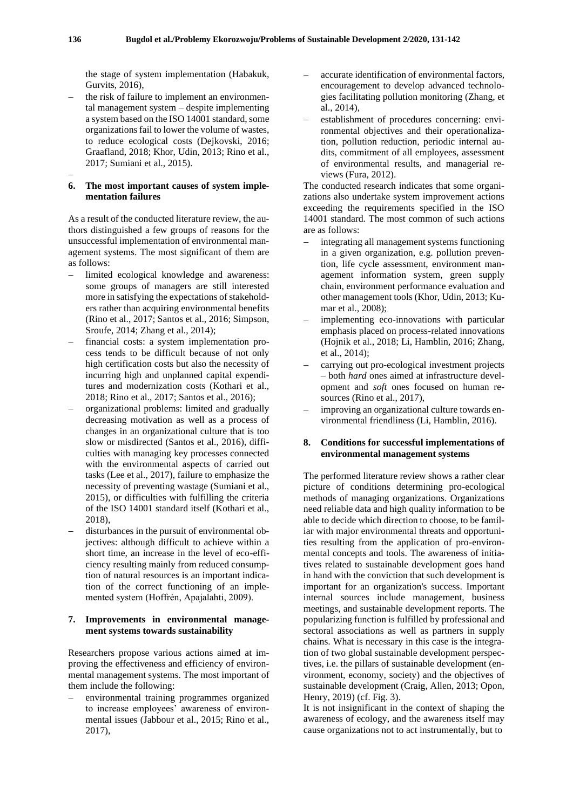the stage of system implementation (Habakuk, Gurvits, 2016),

- the risk of failure to implement an environmental management system – despite implementing a system based on the ISO 14001 standard, some organizations fail to lower the volume of wastes, to reduce ecological costs (Dejkovski, 2016; Graafland, 2018; Khor, Udin, 2013; Rino et al., 2017; Sumiani et al., 2015).
- −

# **6. The most important causes of system implementation failures**

As a result of the conducted literature review, the authors distinguished a few groups of reasons for the unsuccessful implementation of environmental management systems. The most significant of them are as follows:

- limited ecological knowledge and awareness: some groups of managers are still interested more in satisfying the expectations of stakeholders rather than acquiring environmental benefits (Rino et al., 2017; Santos et al., 2016; Simpson, Sroufe, 2014; Zhang et al., 2014);
- financial costs: a system implementation process tends to be difficult because of not only high certification costs but also the necessity of incurring high and unplanned capital expenditures and modernization costs (Kothari et al., 2018; Rino et al., 2017; Santos et al., 2016);
- − organizational problems: limited and gradually decreasing motivation as well as a process of changes in an organizational culture that is too slow or misdirected (Santos et al., 2016), difficulties with managing key processes connected with the environmental aspects of carried out tasks (Lee et al., 2017), failure to emphasize the necessity of preventing wastage (Sumiani et al., 2015), or difficulties with fulfilling the criteria of the ISO 14001 standard itself (Kothari et al., 2018),
- − disturbances in the pursuit of environmental objectives: although difficult to achieve within a short time, an increase in the level of eco-efficiency resulting mainly from reduced consumption of natural resources is an important indication of the correct functioning of an implemented system (Hoffrén, Apajalahti, 2009).

# **7. Improvements in environmental management systems towards sustainability**

Researchers propose various actions aimed at improving the effectiveness and efficiency of environmental management systems. The most important of them include the following:

− environmental training programmes organized to increase employees' awareness of environmental issues (Jabbour et al., 2015; Rino et al., 2017),

- − accurate identification of environmental factors, encouragement to develop advanced technologies facilitating pollution monitoring (Zhang, et al., 2014),
- establishment of procedures concerning: environmental objectives and their operationalization, pollution reduction, periodic internal audits, commitment of all employees, assessment of environmental results, and managerial reviews (Fura, 2012).

The conducted research indicates that some organizations also undertake system improvement actions exceeding the requirements specified in the ISO 14001 standard. The most common of such actions are as follows:

- integrating all management systems functioning in a given organization, e.g. pollution prevention, life cycle assessment, environment management information system, green supply chain, environment performance evaluation and other management tools (Khor, Udin, 2013; Kumar et al., 2008);
- implementing eco-innovations with particular emphasis placed on process-related innovations (Hojnik et al., 2018; Li, Hamblin, 2016; Zhang, et al., 2014);
- carrying out pro-ecological investment projects – both *hard* ones aimed at infrastructure development and *soft* ones focused on human resources (Rino et al., 2017),
- improving an organizational culture towards environmental friendliness (Li, Hamblin, 2016).

# **8. Conditions for successful implementations of environmental management systems**

The performed literature review shows a rather clear picture of conditions determining pro-ecological methods of managing organizations. Organizations need reliable data and high quality information to be able to decide which direction to choose, to be familiar with major environmental threats and opportunities resulting from the application of pro-environmental concepts and tools. The awareness of initiatives related to sustainable development goes hand in hand with the conviction that such development is important for an organization's success. Important internal sources include management, business meetings, and sustainable development reports. The popularizing function is fulfilled by professional and sectoral associations as well as partners in supply chains. What is necessary in this case is the integration of two global sustainable development perspectives, i.e. the pillars of sustainable development (environment, economy, society) and the objectives of sustainable development (Craig, Allen, 2013; Opon, Henry, 2019) (cf. Fig. 3).

It is not insignificant in the context of shaping the awareness of ecology, and the awareness itself may cause organizations not to act instrumentally, but to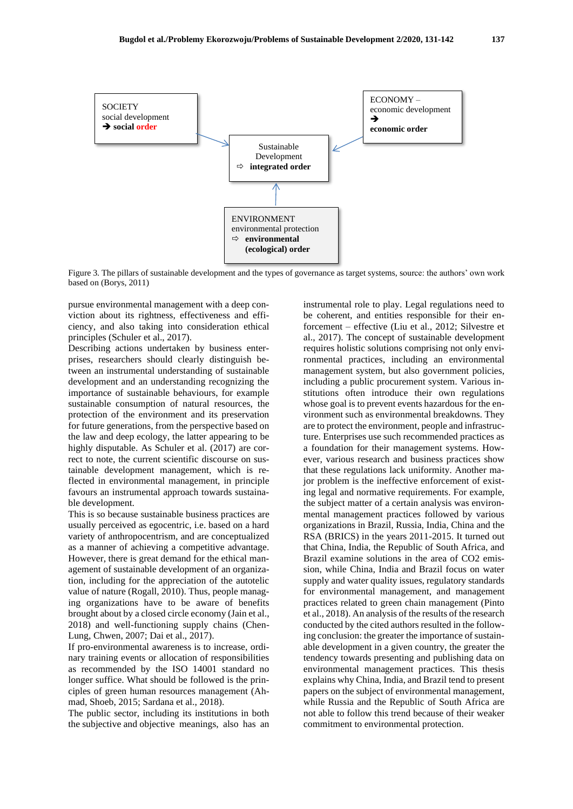

Figure 3. The pillars of sustainable development and the types of governance as target systems, source: the authors' own work based on (Borys, 2011)

pursue environmental management with a deep conviction about its rightness, effectiveness and efficiency, and also taking into consideration ethical principles (Schuler et al., 2017).

Describing actions undertaken by business enterprises, researchers should clearly distinguish between an instrumental understanding of sustainable development and an understanding recognizing the importance of sustainable behaviours, for example sustainable consumption of natural resources, the protection of the environment and its preservation for future generations, from the perspective based on the law and deep ecology, the latter appearing to be highly disputable. As Schuler et al. (2017) are correct to note, the current scientific discourse on sustainable development management, which is reflected in environmental management, in principle favours an instrumental approach towards sustainable development.

This is so because sustainable business practices are usually perceived as egocentric, i.e. based on a hard variety of anthropocentrism, and are conceptualized as a manner of achieving a competitive advantage. However, there is great demand for the ethical management of sustainable development of an organization, including for the appreciation of the autotelic value of nature (Rogall, 2010). Thus, people managing organizations have to be aware of benefits brought about by a closed circle economy (Jain et al., 2018) and well-functioning supply chains (Chen-Lung, Chwen, 2007; Dai et al., 2017).

If pro-environmental awareness is to increase, ordinary training events or allocation of responsibilities as recommended by the ISO 14001 standard no longer suffice. What should be followed is the principles of green human resources management (Ahmad, Shoeb, 2015; Sardana et al., 2018).

The public sector, including its institutions in both the subjective and objective meanings, also has an

instrumental role to play. Legal regulations need to be coherent, and entities responsible for their enforcement – effective (Liu et al., 2012; Silvestre et al., 2017). The concept of sustainable development requires holistic solutions comprising not only environmental practices, including an environmental management system, but also government policies, including a public procurement system. Various institutions often introduce their own regulations whose goal is to prevent events hazardous for the environment such as environmental breakdowns. They are to protect the environment, people and infrastructure. Enterprises use such recommended practices as a foundation for their management systems. However, various research and business practices show that these regulations lack uniformity. Another major problem is the ineffective enforcement of existing legal and normative requirements. For example, the subject matter of a certain analysis was environmental management practices followed by various organizations in Brazil, Russia, India, China and the RSA (BRICS) in the years 2011-2015. It turned out that China, India, the Republic of South Africa, and Brazil examine solutions in the area of CO2 emission, while China, India and Brazil focus on water supply and water quality issues, regulatory standards for environmental management, and management practices related to green chain management (Pinto et al., 2018). An analysis of the results of the research conducted by the cited authors resulted in the following conclusion: the greater the importance of sustainable development in a given country, the greater the tendency towards presenting and publishing data on environmental management practices. This thesis explains why China, India, and Brazil tend to present papers on the subject of environmental management, while Russia and the Republic of South Africa are not able to follow this trend because of their weaker commitment to environmental protection.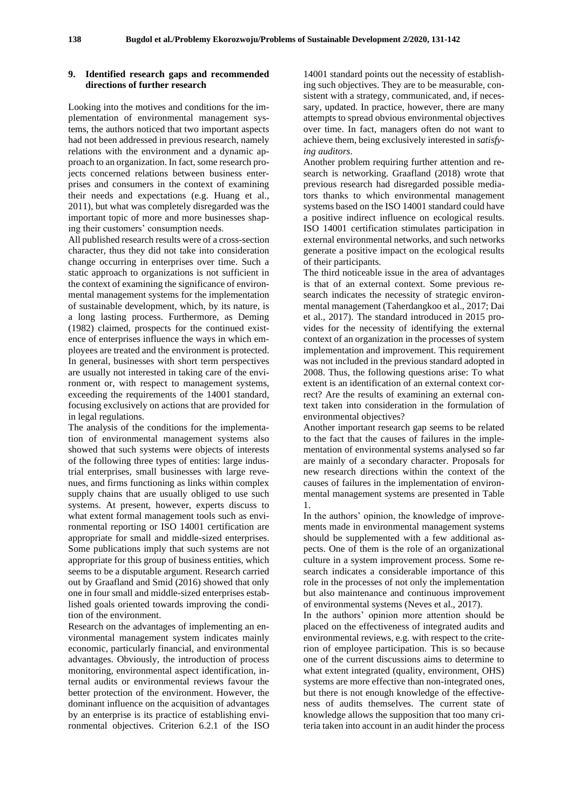### **9. Identified research gaps and recommended directions of further research**

Looking into the motives and conditions for the implementation of environmental management systems, the authors noticed that two important aspects had not been addressed in previous research, namely relations with the environment and a dynamic approach to an organization. In fact, some research projects concerned relations between business enterprises and consumers in the context of examining their needs and expectations (e.g. Huang et al., 2011), but what was completely disregarded was the important topic of more and more businesses shaping their customers' consumption needs.

All published research results were of a cross-section character, thus they did not take into consideration change occurring in enterprises over time. Such a static approach to organizations is not sufficient in the context of examining the significance of environmental management systems for the implementation of sustainable development, which, by its nature, is a long lasting process. Furthermore, as Deming (1982) claimed, prospects for the continued existence of enterprises influence the ways in which employees are treated and the environment is protected. In general, businesses with short term perspectives are usually not interested in taking care of the environment or, with respect to management systems, exceeding the requirements of the 14001 standard, focusing exclusively on actions that are provided for in legal regulations.

The analysis of the conditions for the implementation of environmental management systems also showed that such systems were objects of interests of the following three types of entities: large industrial enterprises, small businesses with large revenues, and firms functioning as links within complex supply chains that are usually obliged to use such systems. At present, however, experts discuss to what extent formal management tools such as environmental reporting or ISO 14001 certification are appropriate for small and middle-sized enterprises. Some publications imply that such systems are not appropriate for this group of business entities, which seems to be a disputable argument. Research carried out by Graafland and Smid (2016) showed that only one in four small and middle-sized enterprises established goals oriented towards improving the condition of the environment.

Research on the advantages of implementing an environmental management system indicates mainly economic, particularly financial, and environmental advantages. Obviously, the introduction of process monitoring, environmental aspect identification, internal audits or environmental reviews favour the better protection of the environment. However, the dominant influence on the acquisition of advantages by an enterprise is its practice of establishing environmental objectives. Criterion 6.2.1 of the ISO

14001 standard points out the necessity of establishing such objectives. They are to be measurable, consistent with a strategy, communicated, and, if necessary, updated. In practice, however, there are many attempts to spread obvious environmental objectives over time. In fact, managers often do not want to achieve them, being exclusively interested in *satisfying auditors*.

Another problem requiring further attention and research is networking. Graafland (2018) wrote that previous research had disregarded possible mediators thanks to which environmental management systems based on the ISO 14001 standard could have a positive indirect influence on ecological results. ISO 14001 certification stimulates participation in external environmental networks, and such networks generate a positive impact on the ecological results of their participants.

The third noticeable issue in the area of advantages is that of an external context. Some previous research indicates the necessity of strategic environmental management (Taherdangkoo et al., 2017; Dai et al., 2017). The standard introduced in 2015 provides for the necessity of identifying the external context of an organization in the processes of system implementation and improvement. This requirement was not included in the previous standard adopted in 2008. Thus, the following questions arise: To what extent is an identification of an external context correct? Are the results of examining an external context taken into consideration in the formulation of environmental objectives?

Another important research gap seems to be related to the fact that the causes of failures in the implementation of environmental systems analysed so far are mainly of a secondary character. Proposals for new research directions within the context of the causes of failures in the implementation of environmental management systems are presented in Table 1.

In the authors' opinion, the knowledge of improvements made in environmental management systems should be supplemented with a few additional aspects. One of them is the role of an organizational culture in a system improvement process. Some research indicates a considerable importance of this role in the processes of not only the implementation but also maintenance and continuous improvement of environmental systems (Neves et al., 2017).

In the authors' opinion more attention should be placed on the effectiveness of integrated audits and environmental reviews, e.g. with respect to the criterion of employee participation. This is so because one of the current discussions aims to determine to what extent integrated (quality, environment, OHS) systems are more effective than non-integrated ones, but there is not enough knowledge of the effectiveness of audits themselves. The current state of knowledge allows the supposition that too many criteria taken into account in an audit hinder the process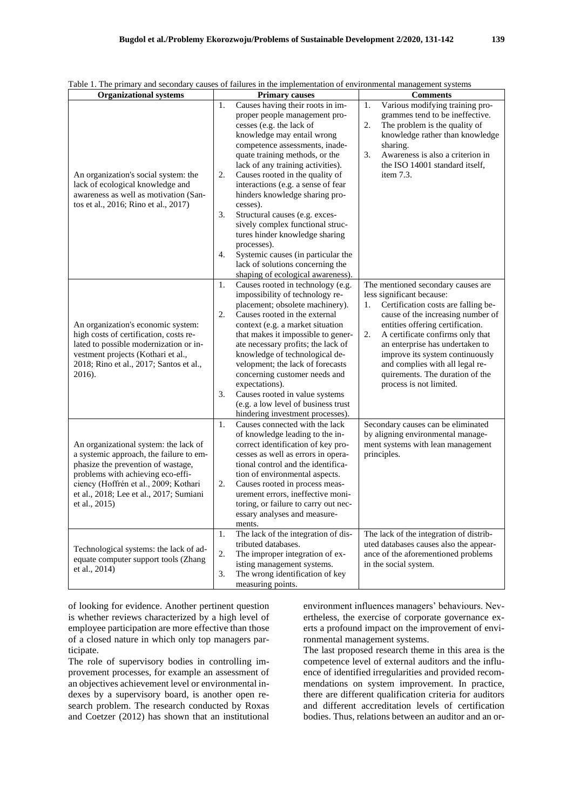| <b>Organizational systems</b>                                                                                                                                                                                                                                    | <b>Primary causes</b>                                                                                                                                                                                                                                                                                                                                                                                                                                                                                                                                                                                                     | <b>Comments</b>                                                                                                                                                                                                                                                                                                                                                                                        |
|------------------------------------------------------------------------------------------------------------------------------------------------------------------------------------------------------------------------------------------------------------------|---------------------------------------------------------------------------------------------------------------------------------------------------------------------------------------------------------------------------------------------------------------------------------------------------------------------------------------------------------------------------------------------------------------------------------------------------------------------------------------------------------------------------------------------------------------------------------------------------------------------------|--------------------------------------------------------------------------------------------------------------------------------------------------------------------------------------------------------------------------------------------------------------------------------------------------------------------------------------------------------------------------------------------------------|
| An organization's social system: the<br>lack of ecological knowledge and<br>awareness as well as motivation (San-<br>tos et al., 2016; Rino et al., 2017)                                                                                                        | Causes having their roots in im-<br>1.<br>proper people management pro-<br>cesses (e.g. the lack of<br>knowledge may entail wrong<br>competence assessments, inade-<br>quate training methods, or the<br>lack of any training activities).<br>2.<br>Causes rooted in the quality of<br>interactions (e.g. a sense of fear<br>hinders knowledge sharing pro-<br>cesses).<br>3.<br>Structural causes (e.g. exces-<br>sively complex functional struc-<br>tures hinder knowledge sharing<br>processes).<br>4.<br>Systemic causes (in particular the<br>lack of solutions concerning the<br>shaping of ecological awareness). | 1.<br>Various modifying training pro-<br>grammes tend to be ineffective.<br>2.<br>The problem is the quality of<br>knowledge rather than knowledge<br>sharing.<br>3.<br>Awareness is also a criterion in<br>the ISO 14001 standard itself,<br>item 7.3.                                                                                                                                                |
| An organization's economic system:<br>high costs of certification, costs re-<br>lated to possible modernization or in-<br>vestment projects (Kothari et al.,<br>2018; Rino et al., 2017; Santos et al.,<br>2016).                                                | 1.<br>Causes rooted in technology (e.g.<br>impossibility of technology re-<br>placement; obsolete machinery).<br>2.<br>Causes rooted in the external<br>context (e.g. a market situation<br>that makes it impossible to gener-<br>ate necessary profits; the lack of<br>knowledge of technological de-<br>velopment; the lack of forecasts<br>concerning customer needs and<br>expectations).<br>3.<br>Causes rooted in value systems<br>(e.g. a low level of business trust<br>hindering investment processes).                                                                                                          | The mentioned secondary causes are<br>less significant because:<br>Certification costs are falling be-<br>1.<br>cause of the increasing number of<br>entities offering certification.<br>2.<br>A certificate confirms only that<br>an enterprise has undertaken to<br>improve its system continuously<br>and complies with all legal re-<br>quirements. The duration of the<br>process is not limited. |
| An organizational system: the lack of<br>a systemic approach, the failure to em-<br>phasize the prevention of wastage,<br>problems with achieving eco-effi-<br>ciency (Hoffrén et al., 2009; Kothari<br>et al., 2018; Lee et al., 2017; Sumiani<br>et al., 2015) | 1.<br>Causes connected with the lack<br>of knowledge leading to the in-<br>correct identification of key pro-<br>cesses as well as errors in opera-<br>tional control and the identifica-<br>tion of environmental aspects.<br>2.<br>Causes rooted in process meas-<br>urement errors, ineffective moni-<br>toring, or failure to carry out nec-<br>essary analyses and measure-<br>ments.                                                                                                                                                                                                                                | Secondary causes can be eliminated<br>by aligning environmental manage-<br>ment systems with lean management<br>principles.                                                                                                                                                                                                                                                                            |
| Technological systems: the lack of ad-<br>equate computer support tools (Zhang<br>et al., 2014)                                                                                                                                                                  | The lack of the integration of dis-<br>1.<br>tributed databases.<br>2.<br>The improper integration of ex-<br>isting management systems.<br>3.<br>The wrong identification of key<br>measuring points.                                                                                                                                                                                                                                                                                                                                                                                                                     | The lack of the integration of distrib-<br>uted databases causes also the appear-<br>ance of the aforementioned problems<br>in the social system.                                                                                                                                                                                                                                                      |

Table 1. The primary and secondary causes of failures in the implementation of environmental management systems

of looking for evidence. Another pertinent question is whether reviews characterized by a high level of employee participation are more effective than those of a closed nature in which only top managers participate.

The role of supervisory bodies in controlling improvement processes, for example an assessment of an objectives achievement level or environmental indexes by a supervisory board, is another open research problem. The research conducted by Roxas and Coetzer (2012) has shown that an institutional

environment influences managers' behaviours. Nevertheless, the exercise of corporate governance exerts a profound impact on the improvement of environmental management systems.

The last proposed research theme in this area is the competence level of external auditors and the influence of identified irregularities and provided recommendations on system improvement. In practice, there are different qualification criteria for auditors and different accreditation levels of certification bodies. Thus, relations between an auditor and an or-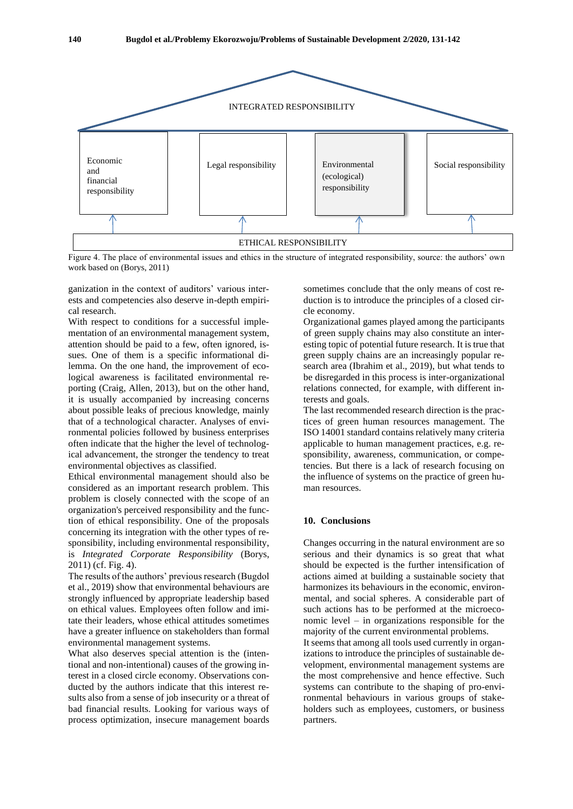

Figure 4. The place of environmental issues and ethics in the structure of integrated responsibility, source: the authors' own work based on (Borys, 2011)

ganization in the context of auditors' various interests and competencies also deserve in-depth empirical research.

With respect to conditions for a successful implementation of an environmental management system, attention should be paid to a few, often ignored, issues. One of them is a specific informational dilemma. On the one hand, the improvement of ecological awareness is facilitated environmental reporting (Craig, Allen, 2013), but on the other hand, it is usually accompanied by increasing concerns about possible leaks of precious knowledge, mainly that of a technological character. Analyses of environmental policies followed by business enterprises often indicate that the higher the level of technological advancement, the stronger the tendency to treat environmental objectives as classified.

Ethical environmental management should also be considered as an important research problem. This problem is closely connected with the scope of an organization's perceived responsibility and the function of ethical responsibility. One of the proposals concerning its integration with the other types of responsibility, including environmental responsibility, is *Integrated Corporate Responsibility* (Borys, 2011) (cf. Fig. 4).

The results of the authors' previous research (Bugdol et al., 2019) show that environmental behaviours are strongly influenced by appropriate leadership based on ethical values. Employees often follow and imitate their leaders, whose ethical attitudes sometimes have a greater influence on stakeholders than formal environmental management systems.

What also deserves special attention is the (intentional and non-intentional) causes of the growing interest in a closed circle economy. Observations conducted by the authors indicate that this interest results also from a sense of job insecurity or a threat of bad financial results. Looking for various ways of process optimization, insecure management boards

sometimes conclude that the only means of cost reduction is to introduce the principles of a closed circle economy.

Organizational games played among the participants of green supply chains may also constitute an interesting topic of potential future research. It is true that green supply chains are an increasingly popular research area (Ibrahim et al., 2019), but what tends to be disregarded in this process is inter-organizational relations connected, for example, with different interests and goals.

The last recommended research direction is the practices of green human resources management. The ISO 14001 standard contains relatively many criteria applicable to human management practices, e.g. responsibility, awareness, communication, or competencies. But there is a lack of research focusing on the influence of systems on the practice of green human resources.

### **10. Conclusions**

partners.

Changes occurring in the natural environment are so serious and their dynamics is so great that what should be expected is the further intensification of actions aimed at building a sustainable society that harmonizes its behaviours in the economic, environmental, and social spheres. A considerable part of such actions has to be performed at the microeconomic level – in organizations responsible for the majority of the current environmental problems. It seems that among all tools used currently in organizations to introduce the principles of sustainable development, environmental management systems are the most comprehensive and hence effective. Such systems can contribute to the shaping of pro-environmental behaviours in various groups of stakeholders such as employees, customers, or business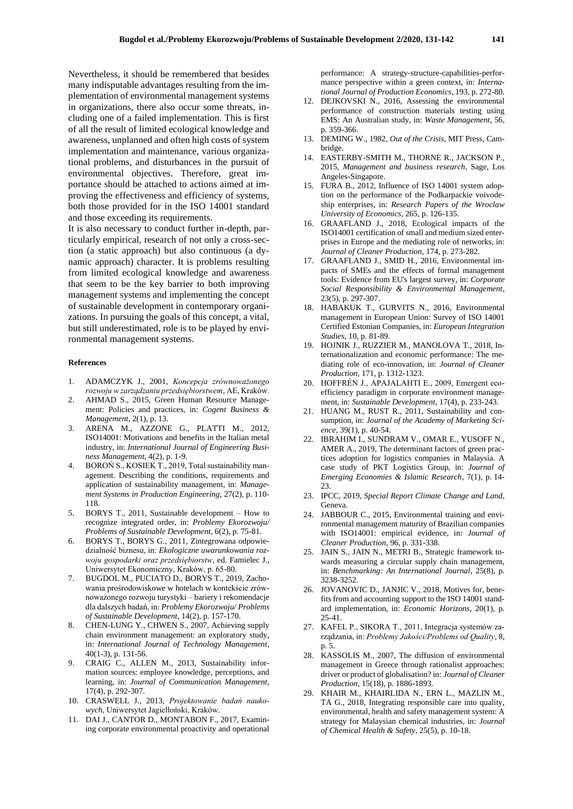Nevertheless, it should be remembered that besides many indisputable advantages resulting from the implementation of environmental management systems in organizations, there also occur some threats, including one of a failed implementation. This is first of all the result of limited ecological knowledge and awareness, unplanned and often high costs of system implementation and maintenance, various organizational problems, and disturbances in the pursuit of environmental objectives. Therefore, great importance should be attached to actions aimed at improving the effectiveness and efficiency of systems, both those provided for in the ISO 14001 standard and those exceeding its requirements.

It is also necessary to conduct further in-depth, particularly empirical, research of not only a cross-section (a static approach) but also continuous (a dynamic approach) character. It is problems resulting from limited ecological knowledge and awareness that seem to be the key barrier to both improving management systems and implementing the concept of sustainable development in contemporary organizations. In pursuing the goals of this concept, a vital, but still underestimated, role is to be played by environmental management systems.

#### **References**

- 1. ADAMCZYK J., 2001, *Koncepcja zrównoważonego rozwoju w zarządzaniu przedsiębiorstwem*, AE, Kraków.
- 2. AHMAD S., 2015, Green Human Resource Management: Policies and practices, in: *Cogent Business & Management*, 2(1), p. 13.
- 3. ARENA M., AZZONE G., PLATTI M., 2012, ISO14001: Motivations and benefits in the Italian metal industry, in: *International Journal of Engineering Business Management*, 4(2), p. 1-9.
- 4. BOROŃ S., KOSIEK T., 2019, Total sustainability management. Describing the conditions, requirements and application of sustainability management, in: *Management Systems in Production Engineering*, 27(2), p. 110- 118.
- 5. BORYS T., 2011, Sustainable development How to recognize integrated order, in: *Problemy Ekorozwoju/ Problems of Sustainable Development*, 6(2), p. 75-81.
- 6. BORYS T., BORYS G., 2011, Zintegrowana odpowiedzialność biznesu, in: *Ekologiczne uwarunkowania rozwoju gospodarki oraz przedsiębiorstw*, ed. Famielec J., Uniwersytet Ekonomiczny, Kraków, p. 65-80.
- 7. BUGDOL M., PUCIATO D., BORYS T., 2019, Zachowania prośrodowiskowe w hotelach w kontekście zrównoważonego rozwoju turystyki – bariery i rekomendacje dla dalszych badań, in: *Problemy Ekorozwoju/ Problems of Sustainable Development*, 14(2), p. 157-170.
- 8. CHEN-LUNG Y., CHWEN S., 2007, Achieving supply chain environment management: an exploratory study, in: *International Journal of Technology Management*, 40(1-3), p. 131-56.
- CRAIG C., ALLEN M., 2013, Sustainability information sources: employee knowledge, perceptions, and learning, in: *Journal of Communication Management*, 17(4), p. 292-307.
- 10. CRASWELL J., 2013, *Projektowanie badań naukowych*, Uniwersytet Jagielloński, Kraków.
- 11. DAI J., CANTOR D., MONTABON F., 2017, Examining corporate environmental proactivity and operational

performance: A strategy-structure-capabilities-performance perspective within a green context, in: *International Journal of Production Economics*, 193, p. 272-80.

- 12. DEJKOVSKI N., 2016, Assessing the environmental performance of construction materials testing using EMS: An Australian study, in: *Waste Management*, 56, p. 359-366.
- 13. DEMING W., 1982, *Out of the Crisis*, MIT Press, Cambridge.
- 14. EASTERBY-SMITH M., THORNE R., JACKSON P., 2015, *Management and business research*, Sage, Los Angeles-Singapore.
- 15. FURA B., 2012, Influence of ISO 14001 system adoption on the performance of the Podkarpackie voivodeship enterprises, in: *Research Papers of the Wroclaw University of Economics*, 265, p. 126-135.
- 16. GRAAFLAND J., 2018, Ecological impacts of the ISO14001 certification of small and medium sized enterprises in Europe and the mediating role of networks, in: *Journal of Cleaner Production*, 174, p. 273-282.
- 17. GRAAFLAND J., SMID H., 2016, Environmental impacts of SMEs and the effects of formal management tools: Evidence from EU's largest survey, in: *Corporate Social Responsibility & Environmental Management*, 23(5), p. 297-307.
- 18. HABAKUK T., GURVITS N., 2016, Environmental management in European Union: Survey of ISO 14001 Certified Estonian Companies, in: *European Integration Studies*, 10, p. 81-89.
- 19. HOJNIK J., RUZZIER M., MANOLOVA T., 2018, Internationalization and economic performance: The mediating role of eco-innovation, in: *Journal of Cleaner Production*, 171, p. 1312-1323.
- 20. HOFFRÉN J., APAJALAHTI E., 2009, Emergent ecoefficiency paradigm in corporate environment management, in: *Sustainable Development*, 17(4), p. 233-243.
- 21. HUANG M., RUST R., 2011, Sustainability and consumption, in: *Journal of the Academy of Marketing Science*, 39(1), p. 40-54.
- 22. IBRAHIM I., SUNDRAM V., OMAR E., YUSOFF N., AMER A., 2019, The determinant factors of green practices adoption for logistics companies in Malaysia. A case study of PKT Logistics Group, in: *Journal of Emerging Economies & Islamic Research*, 7(1), p. 14- 23.
- 23. IPCC, 2019, *Special Report Climate Change and Land*, Geneva.
- 24. JABBOUR C., 2015, Environmental training and environmental management maturity of Brazilian companies with ISO14001: empirical evidence, in: *Journal of Cleaner Production*, 96, p. 331-338.
- 25. JAIN S., JAIN N., METRI B., Strategic framework towards measuring a circular supply chain management, in: *Benchmarking: An International Journal*, 25(8), p. 3238-3252.
- 26. JOVANOVIC D., JANJIC V., 2018, Motives for, benefits from and accounting support to the ISO 14001 standard implementation, in: *Economic Horizons*, 20(1), p.  $25-41$
- 27. KAFEL P., SIKORA T., 2011, Integracja systemów zarządzania, in: *Problemy Jakości/Problems od Quality*, 8, p. 5.
- 28. KASSOLIS M., 2007, The diffusion of environmental management in Greece through rationalist approaches: driver or product of globalisation? in: *Journal of Cleaner Production*, 15(18), p. 1886-1893.
- 29. KHAIR M., KHAIRLIDA N., ERN L., MAZLIN M., TA G., 2018, Integrating responsible care into quality, environmental, health and safety management system: A strategy for Malaysian chemical industries, in: *Journal of Chemical Health & Safety*, 25(5), p. 10-18.